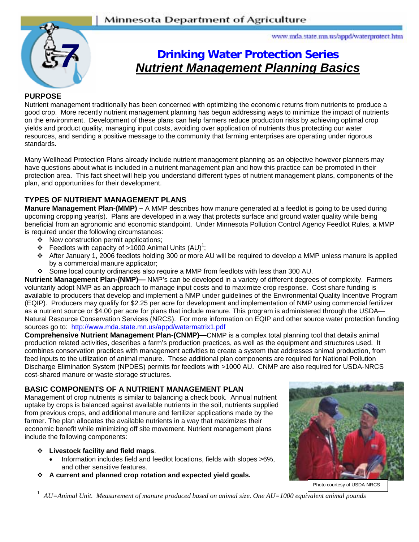

www.mda.state.mn.us/appd/waterprotect.htm

# **Drinking Water Protection Series**  *Nutrient Management Planning Basics*

### **PURPOSE**

Nutrient management traditionally has been concerned with optimizing the economic returns from nutrients to produce a good crop. More recently nutrient management planning has begun addressing ways to minimize the impact of nutrients on the environment. Development of these plans can help farmers reduce production risks by achieving optimal crop yields and product quality, managing input costs, avoiding over application of nutrients thus protecting our water resources, and sending a positive message to the community that farming enterprises are operating under rigorous standards.

Many Wellhead Protection Plans already include nutrient management planning as an objective however planners may have questions about what is included in a nutrient management plan and how this practice can be promoted in their protection area. This fact sheet will help you understand different types of nutrient management plans, components of the plan, and opportunities for their development.

# **TYPES OF NUTRIENT MANAGEMENT PLANS**

**Manure Management Plan-(MMP)** – A MMP describes how manure generated at a feedlot is going to be used during upcoming cropping year(s). Plans are developed in a way that protects surface and ground water quality while being beneficial from an agronomic and economic standpoint. Under Minnesota Pollution Control Agency Feedlot Rules, a MMP is required under the following circumstances:

- $\div$  New construction permit applications;
- **Feedlots with capacity of >1000 Animal Units (AU)<sup>1</sup>;**
- ! After January 1, 2006 feedlots holding 300 or more AU will be required to develop a MMP unless manure is applied by a commercial manure applicator;
- ! Some local county ordinances also require a MMP from feedlots with less than 300 AU.

**Nutrient Management Plan-(NMP)—** NMP's can be developed in a variety of different degrees of complexity. Farmers voluntarily adopt NMP as an approach to manage input costs and to maximize crop response. Cost share funding is available to producers that develop and implement a NMP under guidelines of the Environmental Quality Incentive Program (EQIP). Producers may qualify for \$2.25 per acre for development and implementation of NMP using commercial fertilizer as a nutrient source or \$4.00 per acre for plans that include manure. This program is administered through the USDA— Natural Resource Conservation Services (NRCS). For more information on EQIP and other source water protection funding sources go to: http://www.mda.state.mn.us/appd/watermatrix1.pdf

**Comprehensive Nutrient Management Plan-(CNMP)—**CNMP is a complex total planning tool that details animal production related activities, describes a farm's production practices, as well as the equipment and structures used. It combines conservation practices with management activities to create a system that addresses animal production, from feed inputs to the utilization of animal manure. These additional plan components are required for National Pollution Discharge Elimination System (NPDES) permits for feedlots with >1000 AU. CNMP are also required for USDA-NRCS cost-shared manure or waste storage structures.

# **BASIC COMPONENTS OF A NUTRIENT MANAGEMENT PLAN**

Management of crop nutrients is similar to balancing a check book. Annual nutrient uptake by crops is balanced against available nutrients in the soil, nutrients supplied from previous crops, and additional manure and fertilizer applications made by the farmer. The plan allocates the available nutrients in a way that maximizes their economic benefit while minimizing off site movement. Nutrient management plans include the following components:

#### ! **Livestock facility and field maps**.

- Information includes field and feedlot locations, fields with slopes >6%, and other sensitive features.
- ! **A current and planned crop rotation and expected yield goals.**



Photo courtesy of USDA-NRCS

1 *AU=Animal Unit. Measurement of manure produced based on animal size. One AU=1000 equivalent animal pounds*